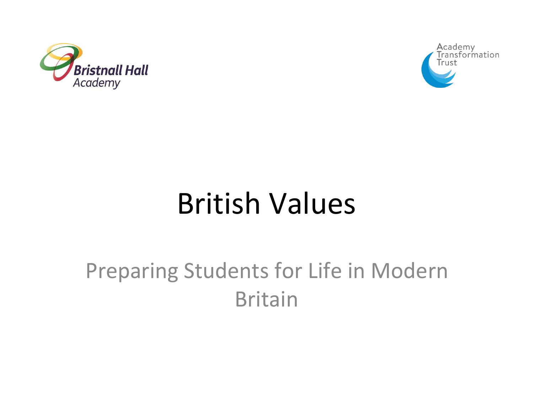



### British Values

#### Preparing Students for Life in Modern Britain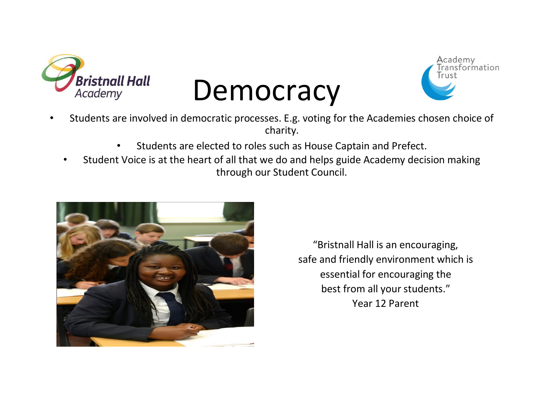

## **Democracy**



- Students are involved in democratic processes. E.g. voting for the Academies chosen choice of charity.
	- Students are elected to roles such as House Captain and Prefect.
	- Student Voice is at the heart of all that we do and helps guide Academy decision making through our Student Council.



"Bristnall Hall is an encouraging, safe and friendly environment which is essential for encouraging the best from all your students." Year 12 Parent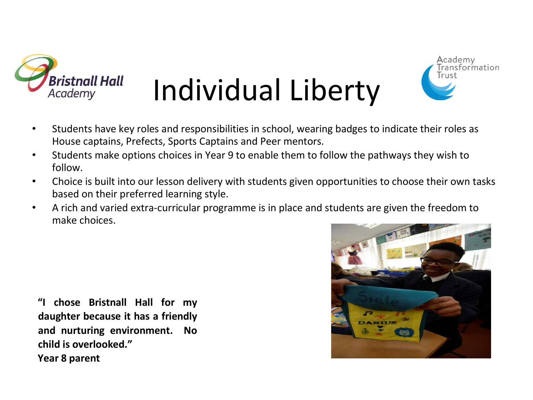

# Individual Liberty



- Students have key roles and responsibilities in school, wearing badges to indicate their roles as House captains, Prefects, Sports Captains and Peer mentors.
- Students make options choices in Year 9 to enable them to follow the pathways they wish to follow.
- Choice is built into our lesson delivery with students given opportunities to choose their own tasks based on their preferred learning style.
- A rich and varied extra-curricular programme is in place and students are given the freedom to make choices.

**"I chose Bristnall Hall for my daughter because it has a friendly and nurturing environment. No child is overlooked." Year 8 parent** 

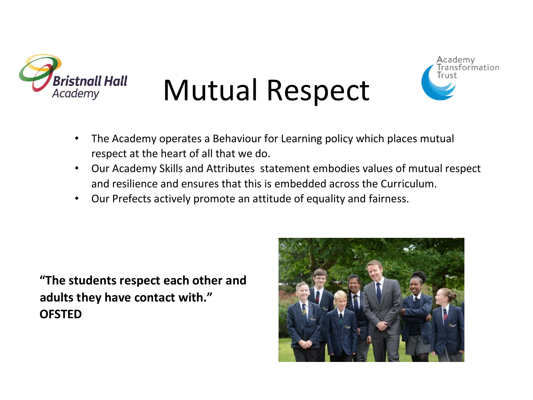

## Mutual Respect



- The Academy operates a Behaviour for Learning policy which places mutual respect at the heart of all that we do.
- Our Academy Skills and Attributes statement embodies values of mutual respect and resilience and ensures that this is embedded across the Curriculum.
- Our Prefects actively promote an attitude of equality and fairness.

**"The students respect each other and adults they have contact with." OFSTED** 

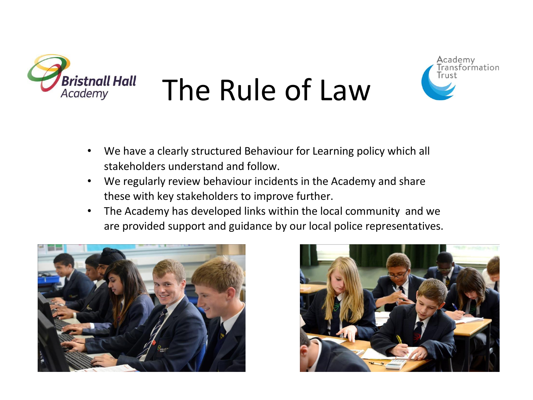

# The Rule of Law



- We have a clearly structured Behaviour for Learning policy which all stakeholders understand and follow.
- We regularly review behaviour incidents in the Academy and share these with key stakeholders to improve further.
- The Academy has developed links within the local community and we are provided support and guidance by our local police representatives.